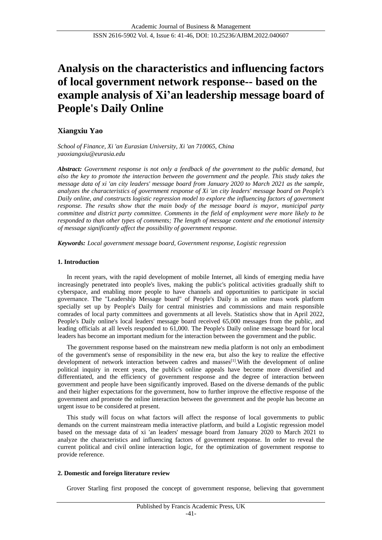# **Analysis on the characteristics and influencing factors of local government network response-- based on the example analysis of Xi'an leadership message board of People's Daily Online**

# **Xiangxiu Yao**

*School of Finance, Xi 'an Eurasian University, Xi 'an 710065, China yaoxiangxiu@eurasia.edu*

*Abstract: Government response is not only a feedback of the government to the public demand, but also the key to promote the interaction between the government and the people. This study takes the message data of xi 'an city leaders' message board from January 2020 to March 2021 as the sample, analyzes the characteristics of government response of Xi 'an city leaders' message board on People's Daily online, and constructs logistic regression model to explore the influencing factors of government response. The results show that the main body of the message board is mayor, municipal party committee and district party committee. Comments in the field of employment were more likely to be responded to than other types of comments; The length of message content and the emotional intensity of message significantly affect the possibility of government response.*

*Keywords: Local government message board, Government response, Logistic regression*

# **1. Introduction**

In recent years, with the rapid development of mobile Internet, all kinds of emerging media have increasingly penetrated into people's lives, making the public's political activities gradually shift to cyberspace, and enabling more people to have channels and opportunities to participate in social governance. The "Leadership Message board" of People's Daily is an online mass work platform specially set up by People's Daily for central ministries and commissions and main responsible comrades of local party committees and governments at all levels. Statistics show that in April 2022, People's Daily online's local leaders' message board received 65,000 messages from the public, and leading officials at all levels responded to 61,000. The People's Daily online message board for local leaders has become an important medium for the interaction between the government and the public.

The government response based on the mainstream new media platform is not only an embodiment of the government's sense of responsibility in the new era, but also the key to realize the effective development of network interaction between cadres and masses<sup>[1]</sup>. With the development of online political inquiry in recent years, the public's online appeals have become more diversified and differentiated, and the efficiency of government response and the degree of interaction between government and people have been significantly improved. Based on the diverse demands of the public and their higher expectations for the government, how to further improve the effective response of the government and promote the online interaction between the government and the people has become an urgent issue to be considered at present.

This study will focus on what factors will affect the response of local governments to public demands on the current mainstream media interactive platform, and build a Logistic regression model based on the message data of xi 'an leaders' message board from January 2020 to March 2021 to analyze the characteristics and influencing factors of government response. In order to reveal the current political and civil online interaction logic, for the optimization of government response to provide reference.

# **2. Domestic and foreign literature review**

Grover Starling first proposed the concept of government response, believing that government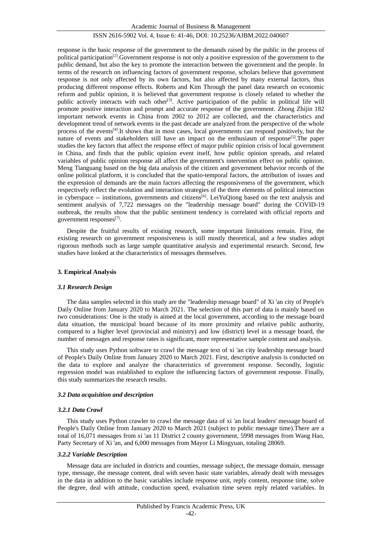Academic Journal of Business & Management

# ISSN 2616-5902 Vol. 4, Issue 6: 41-46, DOI: 10.25236/AJBM.2022.040607

response is the basic response of the government to the demands raised by the public in the process of political participation<sup>[2]</sup>. Government response is not only a positive expression of the government to the public demand, but also the key to promote the interaction between the government and the people. In terms of the research on influencing factors of government response, scholars believe that government response is not only affected by its own factors, but also affected by many external factors, thus producing different response effects. Roberts and Kim Through the panel data research on economic reform and public opinion, it is believed that government response is closely related to whether the public actively interacts with each other<sup>[3]</sup>. Active participation of the public in political life will promote positive interaction and prompt and accurate response of the government. Zhong Zhijin 182 important network events in China from 2002 to 2012 are collected, and the characteristics and development trend of network events in the past decade are analyzed from the perspective of the whole process of the events[4].It shows that in most cases, local governments can respond positively, but the nature of events and stakeholders still have an impact on the enthusiasm of response<sup>[5]</sup>. The paper studies the key factors that affect the response effect of major public opinion crisis of local government in China, and finds that the public opinion event itself, how public opinion spreads, and related variables of public opinion response all affect the government's intervention effect on public opinion. Meng Tianguang based on the big data analysis of the citizen and government behavior records of the online political platform, it is concluded that the spatio-temporal factors, the attribution of issues and the expression of demands are the main factors affecting the responsiveness of the government, which respectively reflect the evolution and interaction strategies of the three elements of political interaction in cyberspace -- institutions, governments and citizens<sup>[6]</sup>. LeiYuQiong based on the text analysis and sentiment analysis of 7,722 messages on the "leadership message board" during the COVID-19 outbreak, the results show that the public sentiment tendency is correlated with official reports and government responses<sup>[7]</sup>.

Despite the fruitful results of existing research, some important limitations remain. First, the existing research on government responsiveness is still mostly theoretical, and a few studies adopt rigorous methods such as large sample quantitative analysis and experimental research. Second, few studies have looked at the characteristics of messages themselves.

# **3. Empirical Analysis**

# *3.1 Research Design*

The data samples selected in this study are the "leadership message board" of Xi 'an city of People's Daily Online from January 2020 to March 2021. The selection of this part of data is mainly based on two considerations: One is the study is aimed at the local government, according to the message board data situation, the municipal board because of its more proximity and relative public authority, compared to a higher level (provincial and ministry) and low (district) level in a message board, the number of messages and response rates is significant, more representative sample content and analysis.

This study uses Python software to crawl the message text of xi 'an city leadership message board of People's Daily Online from January 2020 to March 2021. First, descriptive analysis is conducted on the data to explore and analyze the characteristics of government response. Secondly, logistic regression model was established to explore the influencing factors of government response. Finally, this study summarizes the research results.

# *3.2 Data acquisition and description*

# *3.2.1 Data Crawl*

This study uses Python crawler to crawl the message data of xi 'an local leaders' message board of People's Daily Online from January 2020 to March 2021 (subject to public message time).There are a total of 16,071 messages from xi 'an 11 District 2 county government, 5998 messages from Wang Hao, Party Secretary of Xi 'an, and 6,000 messages from Mayor Li Mingyuan, totaling 28069.

#### *3.2.2 Variable Description*

Message data are included in districts and counties, message subject, the message domain, message type, message, the message content, deal with seven basic state variables, already dealt with messages in the data in addition to the basic variables include response unit, reply content, response time, solve the degree, deal with attitude, conduction speed, evaluation time seven reply related variables. In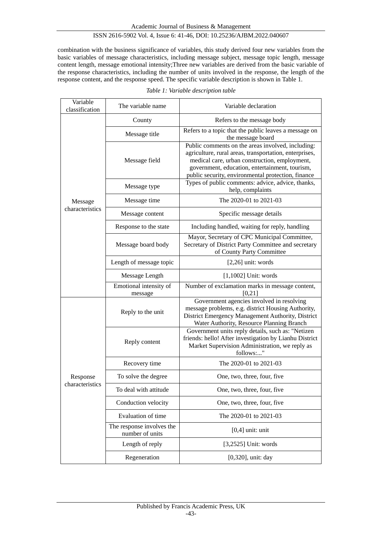combination with the business significance of variables, this study derived four new variables from the basic variables of message characteristics, including message subject, message topic length, message content length, message emotional intensity;Three new variables are derived from the basic variable of the response characteristics, including the number of units involved in the response, the length of the response content, and the response speed. The specific variable description is shown in Table 1.

| Variable<br>classification | The variable name                            | Variable declaration                                                                                                                                                                                                                                                 |  |  |  |  |
|----------------------------|----------------------------------------------|----------------------------------------------------------------------------------------------------------------------------------------------------------------------------------------------------------------------------------------------------------------------|--|--|--|--|
|                            | County                                       | Refers to the message body                                                                                                                                                                                                                                           |  |  |  |  |
|                            | Message title                                | Refers to a topic that the public leaves a message on<br>the message board                                                                                                                                                                                           |  |  |  |  |
|                            | Message field                                | Public comments on the areas involved, including:<br>agriculture, rural areas, transportation, enterprises,<br>medical care, urban construction, employment,<br>government, education, entertainment, tourism,<br>public security, environmental protection, finance |  |  |  |  |
|                            | Message type                                 | Types of public comments: advice, advice, thanks,<br>help, complaints                                                                                                                                                                                                |  |  |  |  |
| Message                    | Message time                                 | The 2020-01 to 2021-03                                                                                                                                                                                                                                               |  |  |  |  |
| characteristics            | Message content                              | Specific message details                                                                                                                                                                                                                                             |  |  |  |  |
|                            | Response to the state                        | Including handled, waiting for reply, handling                                                                                                                                                                                                                       |  |  |  |  |
|                            | Message board body                           | Mayor, Secretary of CPC Municipal Committee,<br>Secretary of District Party Committee and secretary<br>of County Party Committee                                                                                                                                     |  |  |  |  |
|                            | Length of message topic                      | $[2,26]$ unit: words                                                                                                                                                                                                                                                 |  |  |  |  |
|                            | Message Length                               | $[1,1002]$ Unit: words                                                                                                                                                                                                                                               |  |  |  |  |
|                            |                                              | Number of exclamation marks in message content,<br>[0,21]                                                                                                                                                                                                            |  |  |  |  |
|                            | Emotional intensity of<br>message            |                                                                                                                                                                                                                                                                      |  |  |  |  |
|                            | Reply to the unit                            | Government agencies involved in resolving<br>message problems, e.g. district Housing Authority,<br>District Emergency Management Authority, District                                                                                                                 |  |  |  |  |
|                            | Reply content                                | Water Authority, Resource Planning Branch<br>Government units reply details, such as: "Netizen<br>friends: hello! After investigation by Lianhu District<br>Market Supervision Administration, we reply as<br>follows:"                                              |  |  |  |  |
|                            | Recovery time                                | The 2020-01 to 2021-03                                                                                                                                                                                                                                               |  |  |  |  |
| Response                   | To solve the degree                          | One, two, three, four, five                                                                                                                                                                                                                                          |  |  |  |  |
| characteristics            | To deal with attitude                        | One, two, three, four, five                                                                                                                                                                                                                                          |  |  |  |  |
|                            | Conduction velocity                          | One, two, three, four, five                                                                                                                                                                                                                                          |  |  |  |  |
|                            | Evaluation of time                           | The 2020-01 to 2021-03                                                                                                                                                                                                                                               |  |  |  |  |
|                            | The response involves the<br>number of units | $[0,4]$ unit: unit                                                                                                                                                                                                                                                   |  |  |  |  |
|                            | Length of reply                              | $[3,2525]$ Unit: words                                                                                                                                                                                                                                               |  |  |  |  |

|  | Table 1: Variable description table |  |
|--|-------------------------------------|--|
|  |                                     |  |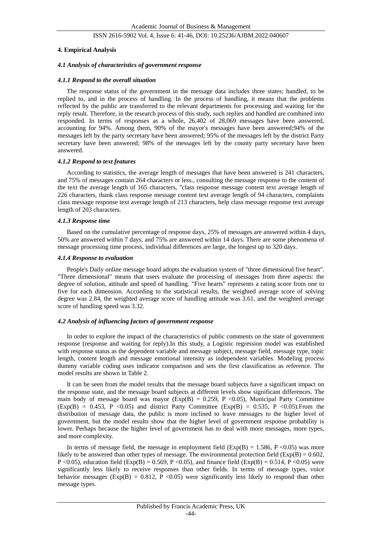#### **4. Empirical Analysis**

#### *4.1 Analysis of characteristics of government response*

#### *4.1.1 Respond to the overall situation*

The response status of the government in the message data includes three states: handled, to be replied to, and in the process of handling. In the process of handling, it means that the problems reflected by the public are transferred to the relevant departments for processing and waiting for the reply result. Therefore, in the research process of this study, such replies and handled are combined into responded. In terms of responses as a whole, 26,402 of 28,069 messages have been answered, accounting for 94%. Among them, 90% of the mayor's messages have been answered;94% of the messages left by the party secretary have been answered; 95% of the messages left by the district Party secretary have been answered; 98% of the messages left by the county party secretary have been answered.

#### *4.1.2 Respond to text features*

According to statistics, the average length of messages that have been answered is 241 characters, and 75% of messages contain 264 characters or less., consulting the message response to the content of the text the average length of 165 characters, "class response message content text average length of 226 characters, thank class response message content text average length of 94 characters, complaints class message response text average length of 213 characters, help class message response text average length of 203 characters.

#### *4.1.3 Response time*

Based on the cumulative percentage of response days, 25% of messages are answered within 4 days, 50% are answered within 7 days, and 75% are answered within 14 days. There are some phenomena of message processing time process, individual differences are large, the longest up to 320 days.

#### *4.1.4 Response to evaluation*

People's Daily online message board adopts the evaluation system of "three dimensional five heart". "Three dimensional" means that users evaluate the processing of messages from three aspects: the degree of solution, attitude and speed of handling. "Five hearts" represents a rating score from one to five for each dimension. According to the statistical results, the weighted average score of solving degree was 2.84, the weighted average score of handling attitude was 3.61, and the weighted average score of handling speed was 3.32.

# *4.2 Analysis of influencing factors of government response*

In order to explore the impact of the characteristics of public comments on the state of government response (response and waiting for reply).In this study, a Logistic regression model was established with response status as the dependent variable and message subject, message field, message type, topic length, content length and message emotional intensity as independent variables. Modeling process dummy variable coding uses indicator comparison and sets the first classification as reference. The model results are shown in Table 2.

It can be seen from the model results that the message board subjects have a significant impact on the response state, and the message board subjects at different levels show significant differences. The main body of message board was mayor ( $Exp(B) = 0.259$ , P <0.05), Municipal Party Committee  $(Exp(B) = 0.453, P \le 0.05)$  and district Party Committee  $(Exp(B) = 0.535, P \le 0.05)$ . From the distribution of message data, the public is more inclined to leave messages to the higher level of government, but the model results show that the higher level of government response probability is lower. Perhaps because the higher level of government has to deal with more messages, more types, and more complexity.

In terms of message field, the message in employment field  $(Exp(B) = 1.586, P < 0.05)$  was more likely to be answered than other types of message. The environmental protection field  $(Exp(B) = 0.602, ...)$ P <0.05), education field (Exp(B) = 0.569, P <0.05), and finance field (Exp(B) = 0.514, P <0.05) were significantly less likely to receive responses than other fields. In terms of message types, voice behavior messages ( $Exp(B) = 0.812$ , P < 0.05) were significantly less likely to respond than other message types.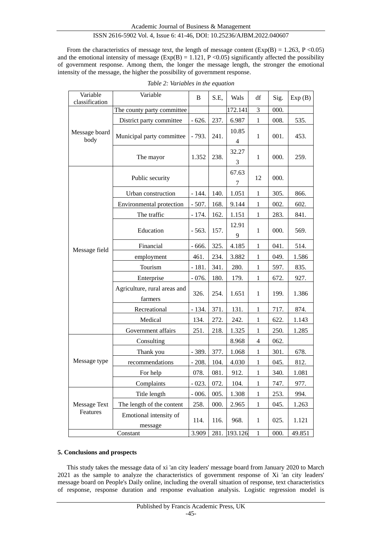From the characteristics of message text, the length of message content ( $Exp(B) = 1.263$ ,  $P \le 0.05$ ) and the emotional intensity of message ( $Exp(B) = 1.121$ ,  $P \le 0.05$ ) significantly affected the possibility of government response. Among them, the longer the message length, the stronger the emotional intensity of the message, the higher the possibility of government response.

| Variable<br>classification      | Variable                                | B       | S.E, | Wals                    | df             | Sig. | Exp(B) |
|---------------------------------|-----------------------------------------|---------|------|-------------------------|----------------|------|--------|
| Message board<br>body           | The county party committee              |         |      | 172.141                 | 3              | 000. |        |
|                                 | District party committee                | $-626.$ | 237. | 6.987                   | $\mathbf{1}$   | 008. | 535.   |
|                                 | Municipal party committee               | $-793.$ | 241. | 10.85<br>$\overline{4}$ | $\mathbf{1}$   | 001. | 453.   |
|                                 | The mayor                               | 1.352   | 238. | 32.27<br>3              | $\mathbf{1}$   | 000. | 259.   |
|                                 | Public security                         |         |      | 67.63<br>7              | 12             | 000. |        |
|                                 | Urban construction                      | $-144.$ | 140. | 1.051                   | $\mathbf{1}$   | 305. | 866.   |
|                                 | Environmental protection                | $-507.$ | 168. | 9.144                   | $\mathbf{1}$   | 002. | 602.   |
|                                 | The traffic                             | $-174.$ | 162. | 1.151                   | $\mathbf{1}$   | 283. | 841.   |
|                                 | Education                               | $-563.$ | 157. | 12.91<br>9              | $\mathbf{1}$   | 000. | 569.   |
|                                 | Financial                               | $-666.$ | 325. | 4.185                   | $\mathbf{1}$   | 041. | 514.   |
| Message field                   | employment                              | 461.    | 234. | 3.882                   | 1              | 049. | 1.586  |
|                                 | Tourism                                 | $-181.$ | 341. | 280.                    | $\mathbf{1}$   | 597. | 835.   |
|                                 | Enterprise                              | $-076.$ | 180. | 179.                    | $\mathbf{1}$   | 672. | 927.   |
|                                 | Agriculture, rural areas and<br>farmers | 326.    | 254. | 1.651                   | $\mathbf{1}$   | 199. | 1.386  |
|                                 | Recreational                            | $-134.$ | 371. | 131.                    | $\mathbf{1}$   | 717. | 874.   |
|                                 | Medical                                 | 134.    | 272. | 242.                    | $\mathbf{1}$   | 622. | 1.143  |
|                                 | Government affairs                      | 251.    | 218. | 1.325                   | $\mathbf{1}$   | 250. | 1.285  |
| Message type                    | Consulting                              |         |      | 8.968                   | $\overline{4}$ | 062. |        |
|                                 | Thank you                               | - 389.  | 377. | 1.068                   | $\mathbf{1}$   | 301. | 678.   |
|                                 | recommendations                         | $-208.$ | 104. | 4.030                   | $\mathbf{1}$   | 045. | 812.   |
|                                 | For help                                | 078.    | 081. | 912.                    | $\mathbf{1}$   | 340. | 1.081  |
|                                 | Complaints                              | $-023.$ | 072. | 104.                    | 1              | 747. | 977.   |
| <b>Message Text</b><br>Features | Title length                            | $-006.$ | 005. | 1.308                   | $\mathbf{1}$   | 253. | 994.   |
|                                 | The length of the content               | 258.    | 000. | 2.965                   | $\mathbf{1}$   | 045. | 1.263  |
|                                 | Emotional intensity of<br>message       | 114.    | 116. | 968.                    | $\mathbf{1}$   | 025. | 1.121  |
| Constant                        |                                         | 3.909   | 281. | 193.126                 | $\mathbf{1}$   | 000. | 49.851 |

# **5. Conclusions and prospects**

This study takes the message data of xi 'an city leaders' message board from January 2020 to March 2021 as the sample to analyze the characteristics of government response of Xi 'an city leaders' message board on People's Daily online, including the overall situation of response, text characteristics of response, response duration and response evaluation analysis. Logistic regression model is